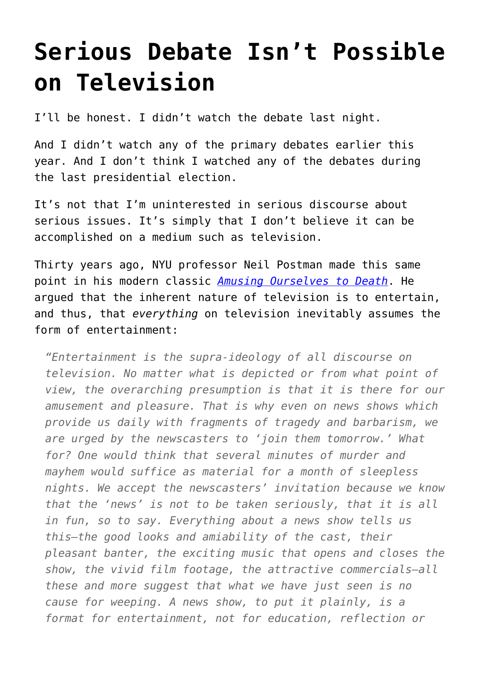## **[Serious Debate Isn't Possible](https://intellectualtakeout.org/2016/09/serious-debate-isnt-possible-on-television/) [on Television](https://intellectualtakeout.org/2016/09/serious-debate-isnt-possible-on-television/)**

I'll be honest. I didn't watch the debate last night.

And I didn't watch any of the primary debates earlier this year. And I don't think I watched any of the debates during the last presidential election.

It's not that I'm uninterested in serious discourse about serious issues. It's simply that I don't believe it can be accomplished on a medium such as television.

Thirty years ago, NYU professor Neil Postman made this same point in his modern classic *[Amusing Ourselves to Death](https://www.amazon.com/Amusing-Ourselves-Death-Discourse-Business/dp/014303653X/ref=as_li_ss_tl?s=books&ie=UTF8&qid=1475000578&sr=1-1&keywords=amusing+ourselves+to+death&linkCode=sl1&tag=intelltakeo0d-20&linkId=084f1fa432a40e1a6aba03de146a2db1)*. He argued that the inherent nature of television is to entertain, and thus, that *everything* on television inevitably assumes the form of entertainment:

*"Entertainment is the supra-ideology of all discourse on television. No matter what is depicted or from what point of view, the overarching presumption is that it is there for our amusement and pleasure. That is why even on news shows which provide us daily with fragments of tragedy and barbarism, we are urged by the newscasters to 'join them tomorrow.' What for? One would think that several minutes of murder and mayhem would suffice as material for a month of sleepless nights. We accept the newscasters' invitation because we know that the 'news' is not to be taken seriously, that it is all in fun, so to say. Everything about a news show tells us this—the good looks and amiability of the cast, their pleasant banter, the exciting music that opens and closes the show, the vivid film footage, the attractive commercials—all these and more suggest that what we have just seen is no cause for weeping. A news show, to put it plainly, is a format for entertainment, not for education, reflection or*